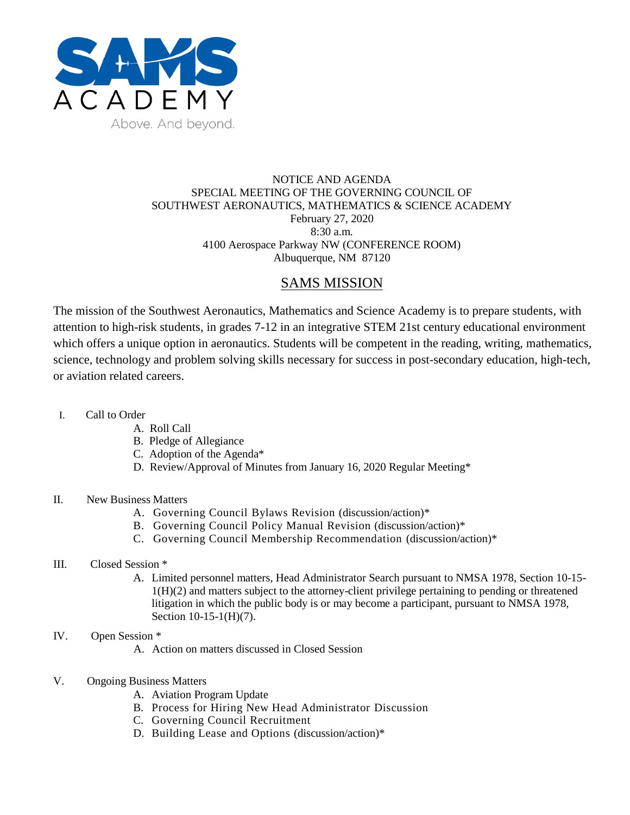

### NOTICE AND AGENDA SPECIAL MEETING OF THE GOVERNING COUNCIL OF SOUTHWEST AERONAUTICS, MATHEMATICS & SCIENCE ACADEMY February 27, 2020 8:30 a.m. 4100 Aerospace Parkway NW (CONFERENCE ROOM) Albuquerque, NM 87120

# SAMS MISSION

The mission of the Southwest Aeronautics, Mathematics and Science Academy is to prepare students, with attention to high-risk students, in grades 7-12 in an integrative STEM 21st century educational environment which offers a unique option in aeronautics. Students will be competent in the reading, writing, mathematics, science, technology and problem solving skills necessary for success in post-secondary education, high-tech, or aviation related careers.

- I. Call to Order
	- A. Roll Call
	- B. Pledge of Allegiance
	- C. Adoption of the Agenda\*
	- D. Review/Approval of Minutes from January 16, 2020 Regular Meeting\*

### II. New Business Matters

- A. Governing Council Bylaws Revision (discussion/action)\*
- B. Governing Council Policy Manual Revision (discussion/action)\*
- C. Governing Council Membership Recommendation (discussion/action)\*

### III. Closed Session \*

A. Limited personnel matters, Head Administrator Search pursuant to NMSA 1978, Section 10-15- 1(H)(2) and matters subject to the attorney-client privilege pertaining to pending or threatened litigation in which the public body is or may become a participant, pursuant to NMSA 1978, Section 10-15-1(H)(7).

## IV. Open Session \*

- A. Action on matters discussed in Closed Session
- V. Ongoing Business Matters
	- A. Aviation Program Update
	- B. Process for Hiring New Head Administrator Discussion
	- C. Governing Council Recruitment
	- D. Building Lease and Options (discussion/action)\*